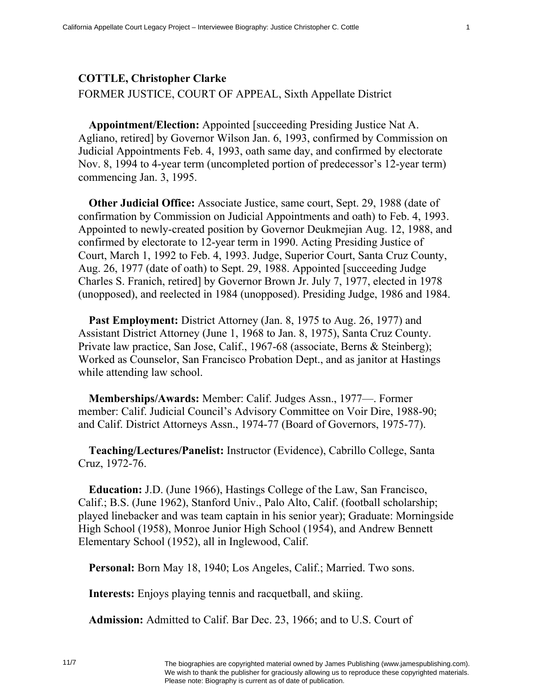## **COTTLE, Christopher Clarke**

FORMER JUSTICE, COURT OF APPEAL, Sixth Appellate District

**Appointment/Election:** Appointed [succeeding Presiding Justice Nat A. Agliano, retired] by Governor Wilson Jan. 6, 1993, confirmed by Commission on Judicial Appointments Feb. 4, 1993, oath same day, and confirmed by electorate Nov. 8, 1994 to 4-year term (uncompleted portion of predecessor's 12-year term) commencing Jan. 3, 1995.

**Other Judicial Office:** Associate Justice, same court, Sept. 29, 1988 (date of confirmation by Commission on Judicial Appointments and oath) to Feb. 4, 1993. Appointed to newly-created position by Governor Deukmejian Aug. 12, 1988, and confirmed by electorate to 12-year term in 1990. Acting Presiding Justice of Court, March 1, 1992 to Feb. 4, 1993. Judge, Superior Court, Santa Cruz County, Aug. 26, 1977 (date of oath) to Sept. 29, 1988. Appointed [succeeding Judge Charles S. Franich, retired] by Governor Brown Jr. July 7, 1977, elected in 1978 (unopposed), and reelected in 1984 (unopposed). Presiding Judge, 1986 and 1984.

**Past Employment:** District Attorney (Jan. 8, 1975 to Aug. 26, 1977) and Assistant District Attorney (June 1, 1968 to Jan. 8, 1975), Santa Cruz County. Private law practice, San Jose, Calif., 1967-68 (associate, Berns & Steinberg); Worked as Counselor, San Francisco Probation Dept., and as janitor at Hastings while attending law school.

**Memberships/Awards:** Member: Calif. Judges Assn., 1977—. Former member: Calif. Judicial Council's Advisory Committee on Voir Dire, 1988-90; and Calif. District Attorneys Assn., 1974-77 (Board of Governors, 1975-77).

**Teaching/Lectures/Panelist:** Instructor (Evidence), Cabrillo College, Santa Cruz, 1972-76.

**Education:** J.D. (June 1966), Hastings College of the Law, San Francisco, Calif.; B.S. (June 1962), Stanford Univ., Palo Alto, Calif. (football scholarship; played linebacker and was team captain in his senior year); Graduate: Morningside High School (1958), Monroe Junior High School (1954), and Andrew Bennett Elementary School (1952), all in Inglewood, Calif.

**Personal:** Born May 18, 1940; Los Angeles, Calif.; Married. Two sons.

**Interests:** Enjoys playing tennis and racquetball, and skiing.

**Admission:** Admitted to Calif. Bar Dec. 23, 1966; and to U.S. Court of